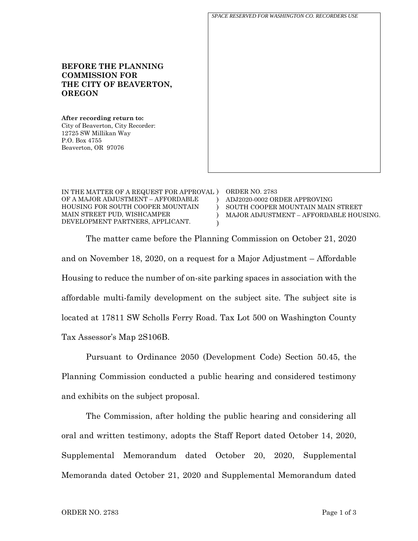**THE CITY OF BEAVERTON,**  *SPACE RESERVED FOR WASHINGTON CO. RECORDERS USE*

IN THE MATTER OF A REQUEST FOR APPROVAL ) ORDER NO. 2783 OF A MAJOR ADJUSTMENT – AFFORDABLE HOUSING FOR SOUTH COOPER MOUNTAIN MAIN STREET PUD, WISHCAMPER DEVELOPMENT PARTNERS, APPLICANT.  $\lambda$ ) ) ) ADJ2020-0002 ORDER APPROVING SOUTH COOPER MOUNTAIN MAIN STREET MAJOR ADJUSTMENT – AFFORDABLE HOUSING.

The matter came before the Planning Commission on October 21, 2020 and on November 18, 2020, on a request for a Major Adjustment – Affordable Housing to reduce the number of on-site parking spaces in association with the affordable multi-family development on the subject site. The subject site is located at 17811 SW Scholls Ferry Road. Tax Lot 500 on Washington County Tax Assessor's Map 2S106B.

Pursuant to Ordinance 2050 (Development Code) Section 50.45, the Planning Commission conducted a public hearing and considered testimony and exhibits on the subject proposal.

The Commission, after holding the public hearing and considering all oral and written testimony, adopts the Staff Report dated October 14, 2020, Supplemental Memorandum dated October 20, 2020, Supplemental Memoranda dated October 21, 2020 and Supplemental Memorandum dated

**BEFORE THE PLANNING** 

**COMMISSION FOR** 

**After recording return to:** City of Beaverton, City Recorder:

12725 SW Millikan Way

**OREGON**

P.O. Box 4755 Beaverton, OR 97076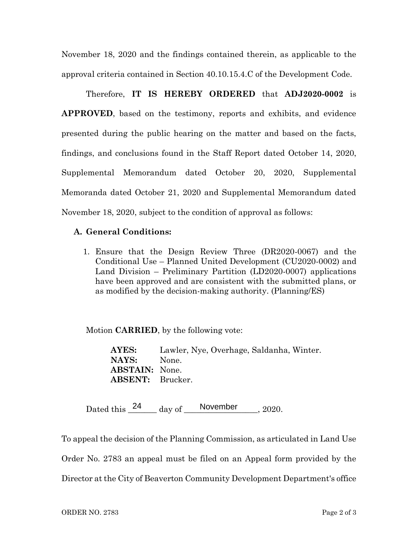November 18, 2020 and the findings contained therein, as applicable to the approval criteria contained in Section 40.10.15.4.C of the Development Code.

Therefore, **IT IS HEREBY ORDERED** that **ADJ2020-0002** is **APPROVED**, based on the testimony, reports and exhibits, and evidence presented during the public hearing on the matter and based on the facts, findings, and conclusions found in the Staff Report dated October 14, 2020, Supplemental Memorandum dated October 20, 2020, Supplemental Memoranda dated October 21, 2020 and Supplemental Memorandum dated November 18, 2020, subject to the condition of approval as follows:

## **A. General Conditions:**

1. Ensure that the Design Review Three (DR2020-0067) and the Conditional Use – Planned United Development (CU2020-0002) and Land Division – Preliminary Partition (LD2020-0007) applications have been approved and are consistent with the submitted plans, or as modified by the decision-making authority. (Planning/ES)

Motion **CARRIED**, by the following vote:

**AYES:** Lawler, Nye, Overhage, Saldanha, Winter. NAYS: None. **ABSTAIN:** None. **ABSENT:** Brucker.

Dated this  $\frac{24}{\text{day of}}$  day of  $\frac{\text{November}}{\text{New}}$ , 2020.

To appeal the decision of the Planning Commission, as articulated in Land Use Order No. 2783 an appeal must be filed on an Appeal form provided by the Director at the City of Beaverton Community Development Department's office